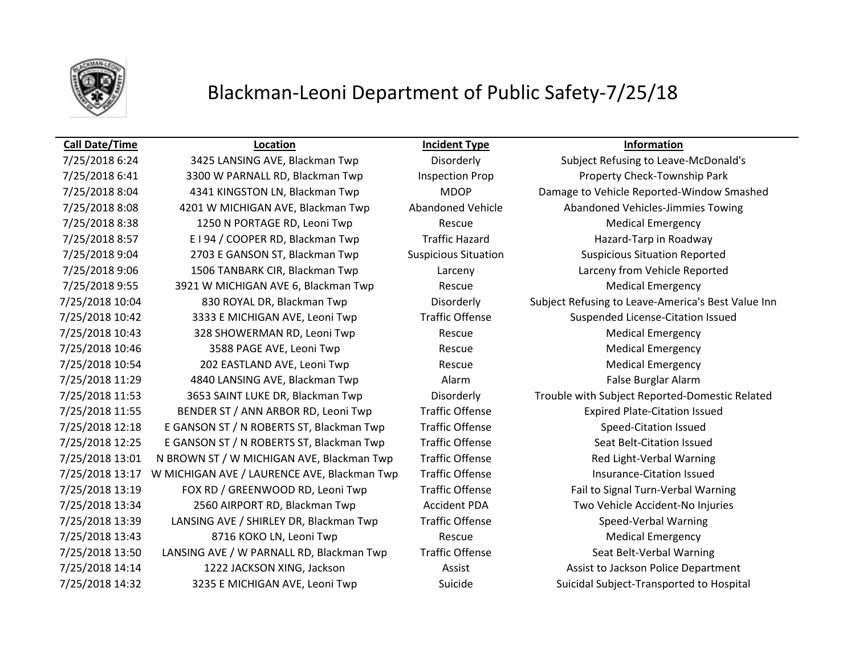

## Blackman-Leoni Department of Public Safety-7/25/18

### **Call Date/Time Location Incident Type Information**

7/25/2018 6:24 3425 LANSING AVE, Blackman Twp Disorderly Subject Refusing to Leave-McDonald's 7/25/2018 6:41 3300 W PARNALL RD, Blackman Twp Inspection Prop Property Check-Township Park 7/25/2018 8:08 4201 W MICHIGAN AVE, Blackman Twp Abandoned Vehicle Abandoned Vehicles-Jimmies Towing 7/25/2018 8:38 1250 N PORTAGE RD, Leoni Twp Rescue Rescue Medical Emergency 7/25/2018 8:57 E I 94 / COOPER RD, Blackman Twp Traffic Hazard Hazard-Tarp in Roadway 7/25/2018 9:04 2703 E GANSON ST, Blackman Twp Suspicious Situation Suspicious Situation Reported 7/25/2018 9:06 1506 TANBARK CIR, Blackman Twp Larceny Larceny from Vehicle Reported 7/25/2018 9:55 3921 W MICHIGAN AVE 6, Blackman Twp Rescue Rescue Medical Emergency 7/25/2018 10:42 3333 E MICHIGAN AVE, Leoni Twp Traffic Offense Suspended License-Citation Issued 7/25/2018 10:43 328 SHOWERMAN RD, Leoni Twp Rescue Rescue Medical Emergency 7/25/2018 10:46 3588 PAGE AVE, Leoni Twp Rescue Medical Emergency 7/25/2018 10:54 202 EASTLAND AVE, Leoni Twp Rescue Rescue Medical Emergency 7/25/2018 11:29 4840 LANSING AVE, Blackman Twp **Alarm Alarm False Burglar Alarm** False Burglar Alarm 7/25/2018 11:55 BENDER ST / ANN ARBOR RD, Leoni Twp Traffic Offense Expired Plate-Citation Issued 7/25/2018 12:18 E GANSON ST / N ROBERTS ST, Blackman Twp Traffic Offense Speed-Citation Issued 7/25/2018 12:25 E GANSON ST / N ROBERTS ST, Blackman Twp Traffic Offense Seat Belt-Citation Issued 7/25/2018 13:01 N BROWN ST / W MICHIGAN AVE, Blackman Twp Traffic Offense Red Light-Verbal Warning 7/25/2018 13:17 W MICHIGAN AVE / LAURENCE AVE, Blackman Twp Traffic Offense Track Controller Austrance-Citation Issued 7/25/2018 13:19 FOX RD / GREENWOOD RD, Leoni Twp Traffic Offense Fail to Signal Turn-Verbal Warning 7/25/2018 13:34 2560 AIRPORT RD, Blackman Twp Accident PDA Two Vehicle Accident-No Injuries 7/25/2018 13:39 LANSING AVE / SHIRLEY DR, Blackman Twp Traffic Offense Speed-Verbal Warning 7/25/2018 13:43 8716 KOKO LN, Leoni Twp Rescue Rescue Medical Emergency 7/25/2018 13:50 LANSING AVE / W PARNALL RD, Blackman Twp Traffic Offense Seat Belt-Verbal Warning 7/25/2018 14:14 1222 JACKSON XING, Jackson Assist Assist Assist to Jackson Police Department 7/25/2018 14:32 3235 E MICHIGAN AVE, Leoni Twp Suicide Suicide Suicidal Subject-Transported to Hospital

7/25/2018 8:04 4341 KINGSTON LN, Blackman Twp MDOP Damage to Vehicle Reported-Window Smashed 7/25/2018 10:04 830 ROYAL DR, Blackman Twp Disorderly Subject Refusing to Leave-America's Best Value Inn 7/25/2018 11:53 3653 SAINT LUKE DR, Blackman Twp Disorderly Trouble with Subject Reported-Domestic Related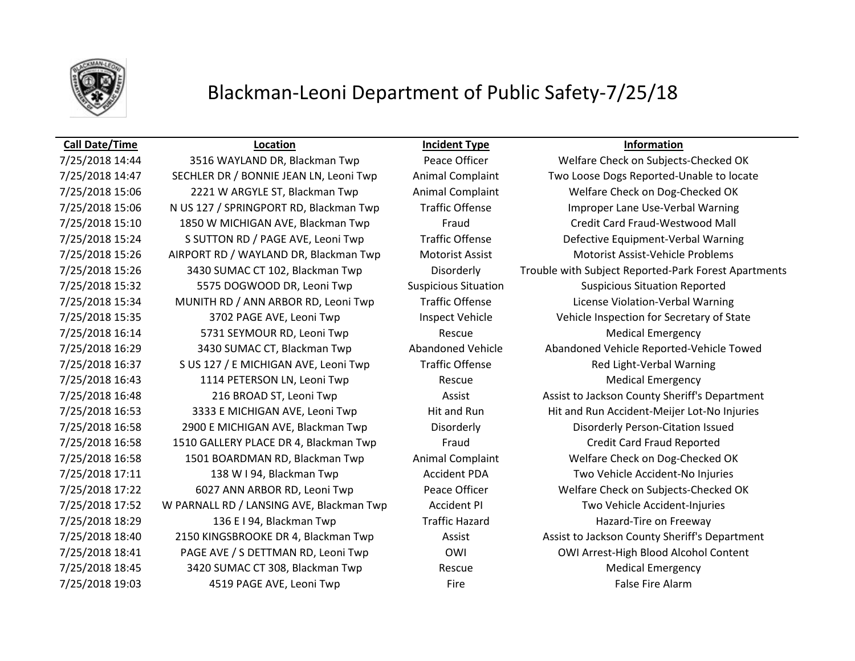

## Blackman-Leoni Department of Public Safety-7/25/18

### **Call Date/Time Location Incident Type Information**

7/25/2018 15:06 2221 W ARGYLE ST, Blackman Twp Animal Complaint Welfare Check on Dog-Checked OK 7/25/2018 15:06 N US 127 / SPRINGPORT RD, Blackman Twp Traffic Offense Improper Lane Use-Verbal Warning 7/25/2018 15:10 1850 W MICHIGAN AVE, Blackman Twp Fraud Credit Card Fraud-Westwood Mall 7/25/2018 15:24 S SUTTON RD / PAGE AVE, Leoni Twp Traffic Offense Defective Equipment-Verbal Warning 7/25/2018 15:26 AIRPORT RD / WAYLAND DR, Blackman Twp Motorist Assist Motorist Assist-Vehicle Problems 7/25/2018 15:32 5575 DOGWOOD DR, Leoni Twp Suspicious Situation Suspicious Situation Reported 7/25/2018 15:34 MUNITH RD / ANN ARBOR RD, Leoni Twp Traffic Offense License Violation-Verbal Warning 7/25/2018 15:35 3702 PAGE AVE, Leoni Twp Inspect Vehicle Vehicle Inspection for Secretary of State 7/25/2018 16:14 5731 SEYMOUR RD, Leoni Twp Rescue Rescue Rescue Medical Emergency 7/25/2018 16:37 S US 127 / E MICHIGAN AVE, Leoni Twp Traffic Offense Red Light-Verbal Warning 7/25/2018 16:43 1114 PETERSON LN, Leoni Twp Rescue Rescue Medical Emergency 7/25/2018 16:58 2900 E MICHIGAN AVE, Blackman Twp Disorderly Disorderly Person-Citation Issued 7/25/2018 16:58 1510 GALLERY PLACE DR 4, Blackman Twp Fraud Credit Card Fraud Reported 7/25/2018 16:58 1501 BOARDMAN RD, Blackman Twp Animal Complaint Welfare Check on Dog-Checked OK 7/25/2018 17:11 138 W I 94, Blackman Twp Accident PDA Two Vehicle Accident-No Injuries 7/25/2018 17:22 6027 ANN ARBOR RD, Leoni Twp Peace Officer Welfare Check on Subjects-Checked OK 7/25/2018 17:52 W PARNALL RD / LANSING AVE, Blackman Twp Accident PI Two Vehicle Accident-Injuries 7/25/2018 18:29 136 E I 94, Blackman Twp Traffic Hazard Hazard Hazard-Tire on Freeway 7/25/2018 18:41 PAGE AVE / S DETTMAN RD, Leoni Twp OWI OWI Arrest-High Blood Alcohol Content 7/25/2018 18:45 3420 SUMAC CT 308, Blackman Twp Rescue Rescue Medical Emergency 7/25/2018 19:03 **19:03** 4519 PAGE AVE, Leoni Twp **Fire** Fire Fire **False Fire Alarm** 

7/25/2018 14:44 3516 WAYLAND DR, Blackman Twp Peace Officer Welfare Check on Subjects-Checked OK 7/25/2018 14:47 SECHLER DR / BONNIE JEAN LN, Leoni Twp Animal Complaint Two Loose Dogs Reported-Unable to locate 7/25/2018 15:26 3430 SUMAC CT 102, Blackman Twp Disorderly Trouble with Subject Reported-Park Forest Apartments 7/25/2018 16:29 3430 SUMAC CT, Blackman Twp Abandoned Vehicle Abandoned Vehicle Reported-Vehicle Towed 7/25/2018 16:48 216 BROAD ST, Leoni Twp Assist Assist Assist to Jackson County Sheriff's Department 7/25/2018 16:53 3333 E MICHIGAN AVE, Leoni Twp Hit and Run Hit and Run Accident-Meijer Lot-No Injuries 7/25/2018 18:40 2150 KINGSBROOKE DR 4, Blackman Twp Assist Assist Assist to Jackson County Sheriff's Department